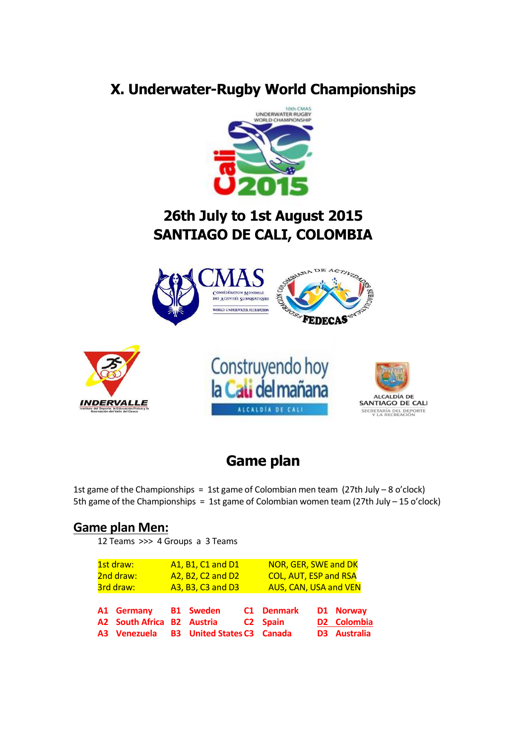# **X. Underwater-Rugby World Championships**



# **26th July to 1st August 2015 SANTIAGO DE CALI, COLOMBIA**



## **Game plan**

1st game of the Championships = 1st game of Colombian men team  $(27th$  July – 8 o'clock) 5th game of the Championships = 1st game of Colombian women team (27th July – 15 o'clock)

#### **Game plan Men:**

12 Teams >>> 4 Groups a 3 Teams

| 3rd draw:<br>A1 Germany B1 Sweden          | A3, B3, C3 and D3                 | AUS, CAN, USA and VEN<br>C1 Denmark | D1 Norway                          |
|--------------------------------------------|-----------------------------------|-------------------------------------|------------------------------------|
| A2 South Africa B2 Austria<br>A3 Venezuela | <b>B3</b> United States C3 Canada | C <sub>2</sub> Spain                | D2 Colombia<br><b>D3</b> Australia |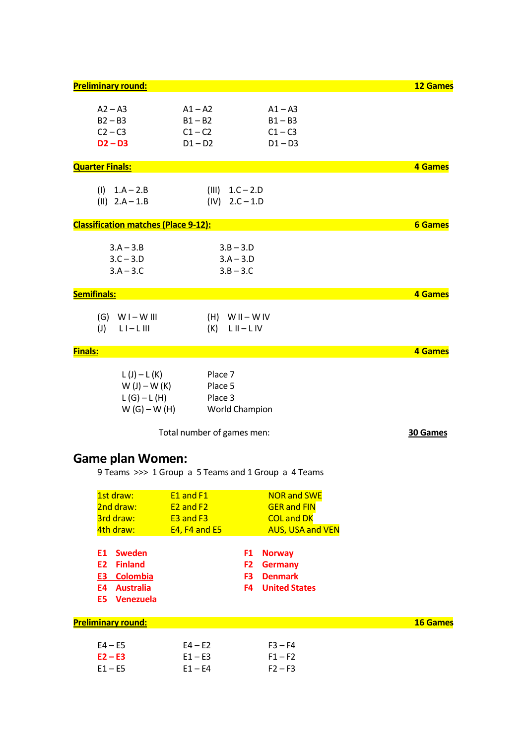| <b>Preliminary round:</b>                   |                                   |                                                     | <b>12 Games</b> |
|---------------------------------------------|-----------------------------------|-----------------------------------------------------|-----------------|
| $A2 - A3$                                   | $A1 - A2$                         | $A1 - A3$                                           |                 |
| $B2 - B3$                                   | $B1 - B2$                         | $B1 - B3$                                           |                 |
| $C2 - C3$                                   | $C1 - C2$                         | $C1 - C3$                                           |                 |
| $D2 - D3$                                   | $D1 - D2$                         | $D1 - D3$                                           |                 |
|                                             |                                   |                                                     |                 |
| <b>Quarter Finals:</b>                      |                                   |                                                     | 4 Games         |
|                                             |                                   |                                                     |                 |
| $(l)$ 1.A – 2.B                             |                                   | $(III) 1.C - 2.D$                                   |                 |
| $(II)$ 2.A - 1.B                            |                                   | $(IV) 2.C - 1.D$                                    |                 |
| <b>Classification matches (Place 9-12):</b> |                                   |                                                     | <b>6 Games</b>  |
|                                             |                                   |                                                     |                 |
| $3.A - 3.B$                                 |                                   | $3.B - 3.D$                                         |                 |
| $3.C - 3.D$                                 |                                   | $3.A - 3.D$                                         |                 |
| $3.A - 3.C$                                 |                                   | $3.B - 3.C$                                         |                 |
|                                             |                                   |                                                     |                 |
| <b>Semifinals:</b>                          |                                   |                                                     | 4 Games         |
|                                             |                                   |                                                     |                 |
| $(G)$ WI-WIII                               |                                   | $(H)$ WII-WIV                                       |                 |
| (I)<br>$L I - L III$                        | (K)                               | $LII-LIV$                                           |                 |
|                                             |                                   |                                                     |                 |
| <b>Finals:</b>                              |                                   |                                                     | <b>4 Games</b>  |
|                                             |                                   |                                                     |                 |
| $L(J) - L(K)$                               | Place 7                           |                                                     |                 |
| $W(J) - W(K)$                               | Place 5                           |                                                     |                 |
| $L(G)-L(H)$                                 | Place 3                           |                                                     |                 |
| $W(G)-W(H)$                                 |                                   | <b>World Champion</b>                               |                 |
|                                             | Total number of games men:        |                                                     | 30 Games        |
|                                             |                                   |                                                     |                 |
|                                             |                                   |                                                     |                 |
| <b>Game plan Women:</b>                     |                                   |                                                     |                 |
|                                             |                                   | 9 Teams >>> 1 Group a 5 Teams and 1 Group a 4 Teams |                 |
| 1st draw:                                   | E1 and F1                         | <b>NOR and SWE</b>                                  |                 |
| 2nd draw:                                   | E <sub>2</sub> and F <sub>2</sub> | <b>GER and FIN</b>                                  |                 |
| 3rd draw:                                   | E3 and F3                         | <b>COL and DK</b>                                   |                 |
| 4th draw:                                   | E4, F4 and E5                     | <b>AUS, USA and VEN</b>                             |                 |
|                                             |                                   |                                                     |                 |
| <b>E1</b> Sweden                            |                                   | <b>Norway</b><br>F1                                 |                 |
| E2<br><b>Finland</b>                        |                                   | F <sub>2</sub><br><b>Germany</b>                    |                 |
| <b>E3</b> Colombia                          |                                   | <b>Denmark</b><br>F <sub>3</sub>                    |                 |
| <b>E4</b> Australia                         |                                   | <b>United States</b><br>F <sub>4</sub>              |                 |
| <b>E5</b> Venezuela                         |                                   |                                                     |                 |
| <b>Preliminary round:</b>                   |                                   |                                                     | <b>16 Games</b> |
|                                             |                                   |                                                     |                 |

| $E4 - E5$ | $F4 - F2$ | $F3 - F4$ |
|-----------|-----------|-----------|
| $E2 - E3$ | $F1 - F3$ | $F1 - F2$ |
| $E1 - E5$ | $F1 - F4$ | $F2 - F3$ |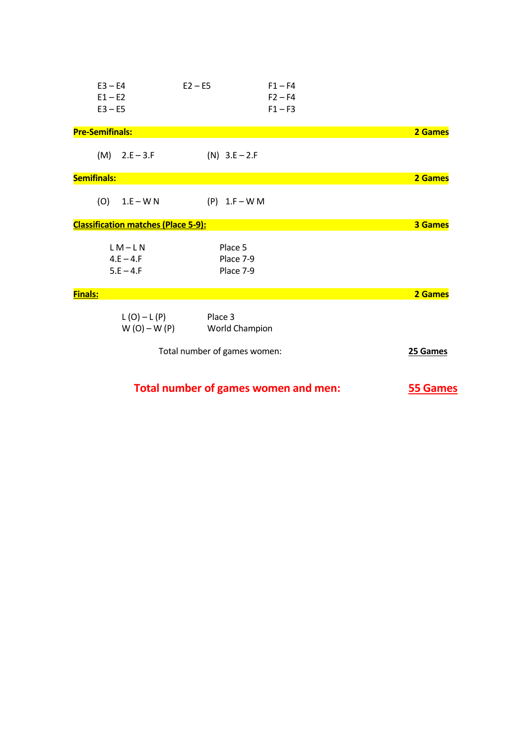| $E3 - E4$<br>$E1 - E2$<br>$E3 - E5$        | $E2 - E5$                            | $F1 - F4$<br>$F2 - F4$<br>$F1 - F3$ |                 |
|--------------------------------------------|--------------------------------------|-------------------------------------|-----------------|
| <b>Pre-Semifinals:</b>                     |                                      |                                     | 2 Games         |
| $(M)$ 2.E – 3.F                            | $(N)$ 3.E – 2.F                      |                                     |                 |
| <b>Semifinals:</b>                         |                                      |                                     | 2 Games         |
| (O)<br>$1.E-WN$                            | $(P)$ 1.F – W M                      |                                     |                 |
| <b>Classification matches (Place 5-9):</b> |                                      |                                     | <b>3 Games</b>  |
| $LM-LN$<br>$4.E - 4.F$<br>$5.E - 4.F$      | Place 5<br>Place 7-9<br>Place 7-9    |                                     |                 |
| <b>Finals:</b>                             |                                      |                                     | 2 Games         |
| $L(O)-L(P)$<br>$W(O) - W(P)$               | Place 3<br>World Champion            |                                     |                 |
|                                            | Total number of games women:         |                                     | 25 Games        |
|                                            | Total number of games women and men: |                                     | <b>55 Games</b> |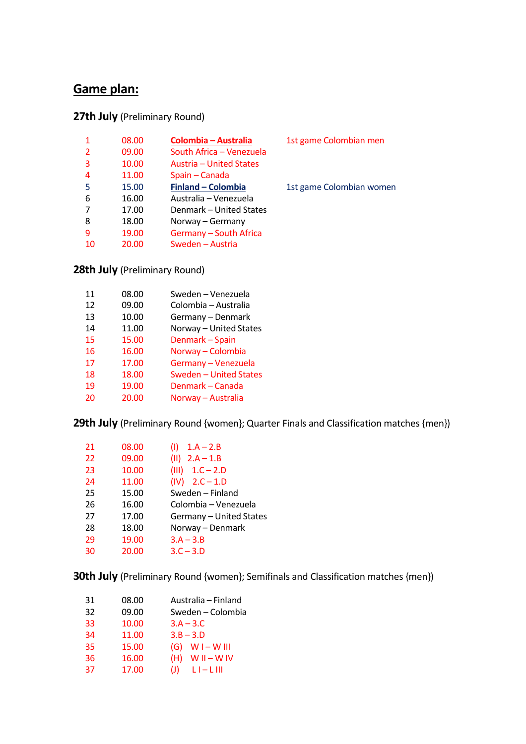### **Game plan:**

#### **27th July** (Preliminary Round)

|                | 08.00 | <b>Colombia - Australia</b> | 1st game Colombian men   |
|----------------|-------|-----------------------------|--------------------------|
| $\overline{2}$ | 09.00 | South Africa - Venezuela    |                          |
| 3              | 10.00 | Austria – United States     |                          |
| 4              | 11.00 | Spain - Canada              |                          |
| 5              | 15.00 | <b>Finland - Colombia</b>   | 1st game Colombian women |
| 6              | 16.00 | Australia – Venezuela       |                          |
|                | 17.00 | Denmark – United States     |                          |
| 8              | 18.00 | Norway - Germany            |                          |
| 9              | 19.00 | Germany - South Africa      |                          |
| 10             | 20.00 | Sweden - Austria            |                          |
|                |       |                             |                          |

**28th July** (Preliminary Round)

| 11 | 08.00 | Sweden - Venezuela     |
|----|-------|------------------------|
| 12 | 09.00 | Colombia - Australia   |
| 13 | 10.00 | Germany - Denmark      |
| 14 | 11.00 | Norway - United States |
| 15 | 15.00 | Denmark - Spain        |
| 16 | 16.00 | Norway - Colombia      |
| 17 | 17.00 | Germany - Venezuela    |
| 18 | 18.00 | Sweden - United States |
| 19 | 19.00 | Denmark - Canada       |
| 20 | 20.00 | Norway - Australia     |

**29th July** (Preliminary Round {women}; Quarter Finals and Classification matches {men})

| 21 | 08.00 | $1.A - 2.B$<br>O        |
|----|-------|-------------------------|
| 22 | 09.00 | $(11)$ 2.A - 1.B        |
| 23 | 10.00 | $(III) 1.C - 2.D$       |
| 24 | 11.00 | $(IV) 2.C - 1.D$        |
| 25 | 15.00 | Sweden - Finland        |
| 26 | 16.00 | Colombia - Venezuela    |
| 27 | 17.00 | Germany - United States |
| 28 | 18.00 | Norway - Denmark        |
| 29 | 19.00 | $3.A - 3.B$             |
| 30 | 20.00 | $3.C - 3.D$             |

**30th July** (Preliminary Round {women}; Semifinals and Classification matches {men})

| 31 | 08.00 | Australia – Finland   |
|----|-------|-----------------------|
| 32 | 09.00 | Sweden – Colombia     |
| 33 | 10.00 | $3.A - 3.C$           |
| 34 | 11.00 | $3.B - 3.D$           |
| 35 | 15.00 | $(G)$ W I – W III     |
| 36 | 16.00 | $WII-WIV$<br>(H)      |
| 37 | 17.00 | $L$ I $ L$ III<br>(J) |